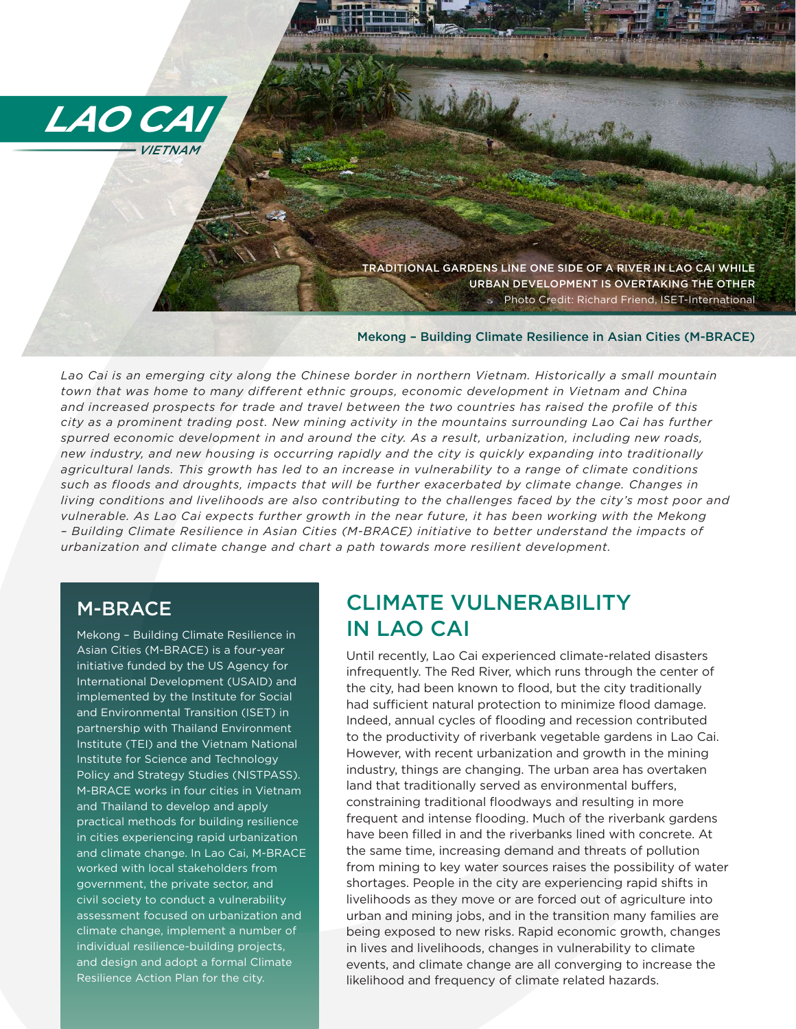

URBAN DEVELOPMENT IS OVERTAKING THE OTHER Photo Credit: Richard Friend, ISET-International

#### Mekong – Building Climate Resilience in Asian Cities (M-BRACE)

*Lao Cai is an emerging city along the Chinese border in northern Vietnam. Historically a small mountain town that was home to many different ethnic groups, economic development in Vietnam and China and increased prospects for trade and travel between the two countries has raised the profile of this city as a prominent trading post. New mining activity in the mountains surrounding Lao Cai has further spurred economic development in and around the city. As a result, urbanization, including new roads, new industry, and new housing is occurring rapidly and the city is quickly expanding into traditionally agricultural lands. This growth has led to an increase in vulnerability to a range of climate conditions such as floods and droughts, impacts that will be further exacerbated by climate change. Changes in*  living conditions and livelihoods are also contributing to the challenges faced by the city's most poor and *vulnerable. As Lao Cai expects further growth in the near future, it has been working with the Mekong – Building Climate Resilience in Asian Cities (M-BRACE) initiative to better understand the impacts of urbanization and climate change and chart a path towards more resilient development.* 

## M-BRACE

Mekong – Building Climate Resilience in Asian Cities (M-BRACE) is a four-year initiative funded by the US Agency for International Development (USAID) and implemented by the Institute for Social and Environmental Transition (ISET) in partnership with Thailand Environment Institute (TEI) and the Vietnam National Institute for Science and Technology Policy and Strategy Studies (NISTPASS). M-BRACE works in four cities in Vietnam and Thailand to develop and apply practical methods for building resilience in cities experiencing rapid urbanization and climate change. In Lao Cai, M-BRACE worked with local stakeholders from government, the private sector, and civil society to conduct a vulnerability assessment focused on urbanization and climate change, implement a number of individual resilience-building projects, and design and adopt a formal Climate Resilience Action Plan for the city.

## CLIMATE VULNERABILITY IN LAO CAI

 $\frac{1}{2}$  and  $\frac{1}{2}$  and  $\frac{1}{2}$  and  $\frac{1}{2}$  and  $\frac{1}{2}$  and  $\frac{1}{2}$  and  $\frac{1}{2}$  and  $\frac{1}{2}$  and  $\frac{1}{2}$  and  $\frac{1}{2}$  and  $\frac{1}{2}$  and  $\frac{1}{2}$  and  $\frac{1}{2}$  and  $\frac{1}{2}$  and  $\frac{1}{2}$  and  $\frac{1}{2}$  a Until recently, Lao Cai experienced climate-related disasters infrequently. The Red River, which runs through the center of the city, had been known to flood, but the city traditionally had sufficient natural protection to minimize flood damage. Indeed, annual cycles of flooding and recession contributed to the productivity of riverbank vegetable gardens in Lao Cai. However, with recent urbanization and growth in the mining industry, things are changing. The urban area has overtaken land that traditionally served as environmental buffers, constraining traditional floodways and resulting in more frequent and intense flooding. Much of the riverbank gardens have been filled in and the riverbanks lined with concrete. At the same time, increasing demand and threats of pollution from mining to key water sources raises the possibility of water shortages. People in the city are experiencing rapid shifts in livelihoods as they move or are forced out of agriculture into urban and mining jobs, and in the transition many families are being exposed to new risks. Rapid economic growth, changes in lives and livelihoods, changes in vulnerability to climate events, and climate change are all converging to increase the likelihood and frequency of climate related hazards.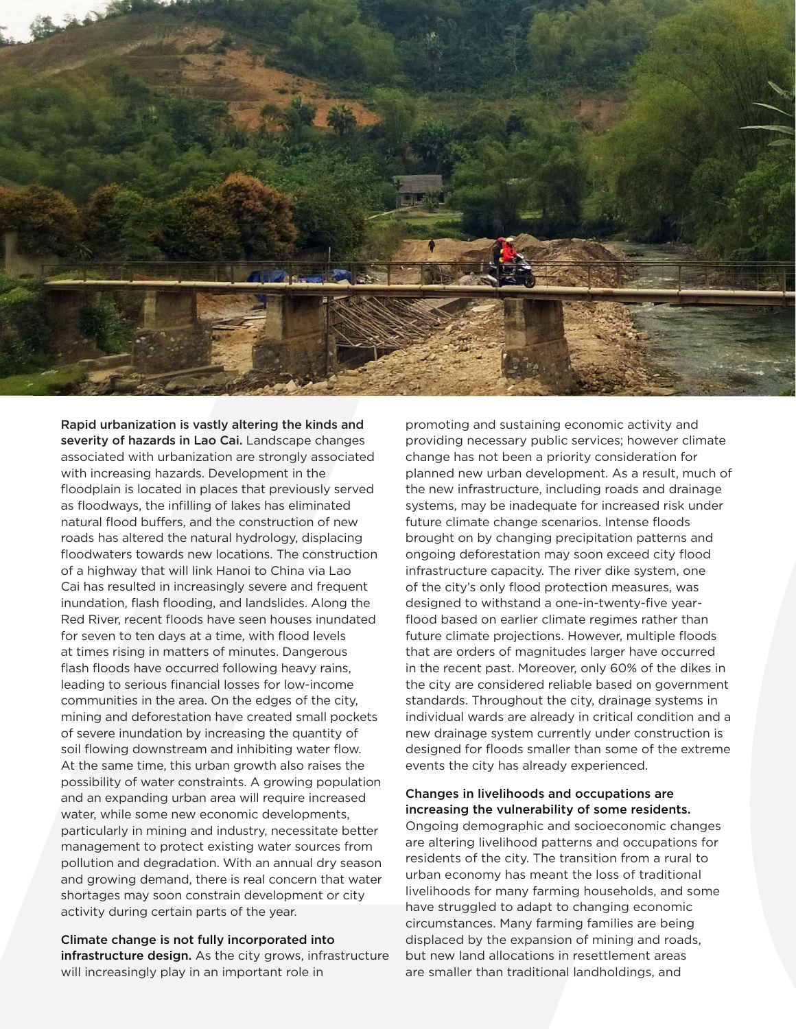

Rapid urbanization is vastly altering the kinds and severity of hazards in Lao Cai. Landscape changes associated with urbanization are strongly associated with increasing hazards. Development in the floodplain is located in places that previously served as floodways, the infilling of lakes has eliminated natural flood buffers, and the construction of new roads has altered the natural hydrology, displacing floodwaters towards new locations. The construction of a highway that will link Hanoi to China via Lao Cai has resulted in increasingly severe and frequent inundation, flash flooding, and landslides. Along the Red River, recent floods have seen houses inundated for seven to ten days at a time, with flood levels at times rising in matters of minutes. Dangerous flash floods have occurred following heavy rains, leading to serious financial losses for low-income communities in the area. On the edges of the city, mining and deforestation have created small pockets of severe inundation by increasing the quantity of soil flowing downstream and inhibiting water flow. At the same time, this urban growth also raises the possibility of water constraints. A growing population and an expanding urban area will require increased water, while some new economic developments, particularly in mining and industry, necessitate better management to protect existing water sources from pollution and degradation. With an annual dry season and growing demand, there is real concern that water shortages may soon constrain development or city activity during certain parts of the year.

Climate change is not fully incorporated into infrastructure design. As the city grows, infrastructure will increasingly play in an important role in

promoting and sustaining economic activity and providing necessary public services; however climate change has not been a priority consideration for planned new urban development. As a result, much of the new infrastructure, including roads and drainage systems, may be inadequate for increased risk under future climate change scenarios. Intense floods brought on by changing precipitation patterns and ongoing deforestation may soon exceed city flood infrastructure capacity. The river dike system, one of the city's only flood protection measures, was designed to withstand a one-in-twenty-five yearflood based on earlier climate regimes rather than future climate projections. However, multiple floods that are orders of magnitudes larger have occurred in the recent past. Moreover, only 60% of the dikes in the city are considered reliable based on government standards. Throughout the city, drainage systems in individual wards are already in critical condition and a new drainage system currently under construction is designed for floods smaller than some of the extreme events the city has already experienced.

#### Changes in livelihoods and occupations are increasing the vulnerability of some residents.

Ongoing demographic and socioeconomic changes are altering livelihood patterns and occupations for residents of the city. The transition from a rural to urban economy has meant the loss of traditional livelihoods for many farming households, and some have struggled to adapt to changing economic circumstances. Many farming families are being displaced by the expansion of mining and roads, but new land allocations in resettlement areas are smaller than traditional landholdings, and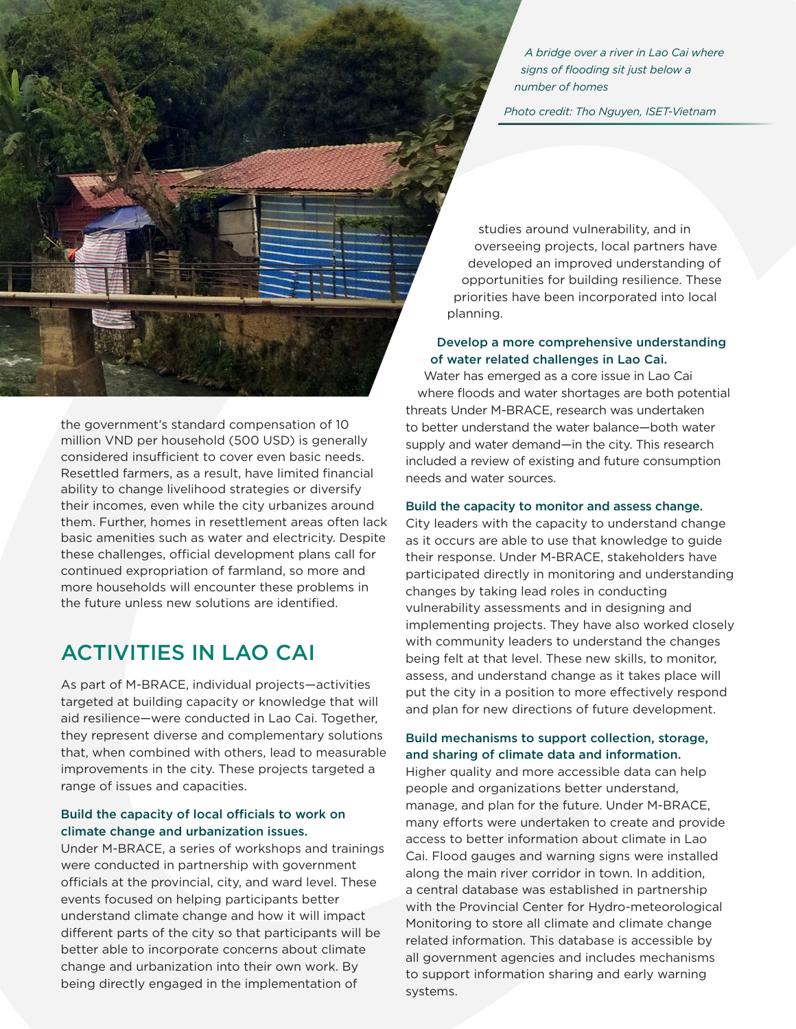*A bridge over a river in Lao Cai where signs of flooding sit just below a number of homes* 

*Photo credit: Tho Nguyen, ISET-Vietnam*

the government's standard compensation of 10 million VND per household (500 USD) is generally considered insufficient to cover even basic needs. Resettled farmers, as a result, have limited financial ability to change livelihood strategies or diversify their incomes, even while the city urbanizes around them. Further, homes in resettlement areas often lack basic amenities such as water and electricity. Despite these challenges, official development plans call for continued expropriation of farmland, so more and more households will encounter these problems in the future unless new solutions are identified.

As part of M-BRACE, individual projects—activities targeted at building capacity or knowledge that will aid resilience—were conducted in Lao Cai. Together, they represent diverse and complementary solutions that, when combined with others, lead to measurable improvements in the city. These projects targeted a range of issues and capacities.

#### Build the capacity of local officials to work on climate change and urbanization issues.

Under M-BRACE, a series of workshops and trainings were conducted in partnership with government officials at the provincial, city, and ward level. These events focused on helping participants better understand climate change and how it will impact different parts of the city so that participants will be better able to incorporate concerns about climate change and urbanization into their own work. By being directly engaged in the implementation of

studies around vulnerability, and in overseeing projects, local partners have developed an improved understanding of opportunities for building resilience. These priorities have been incorporated into local planning.

#### Develop a more comprehensive understanding of water related challenges in Lao Cai.

Water has emerged as a core issue in Lao Cai where floods and water shortages are both potential threats Under M-BRACE, research was undertaken to better understand the water balance—both water supply and water demand—in the city. This research included a review of existing and future consumption needs and water sources.

#### Build the capacity to monitor and assess change.

City leaders with the capacity to understand change as it occurs are able to use that knowledge to guide their response. Under M-BRACE, stakeholders have participated directly in monitoring and understanding changes by taking lead roles in conducting vulnerability assessments and in designing and implementing projects. They have also worked closely with community leaders to understand the changes being felt at that level. These new skills, to monitor, assess, and understand change as it takes place will put the city in a position to more effectively respond and plan for new directions of future development.

### Build mechanisms to support collection, storage, and sharing of climate data and information.

LEAD THE MANUFACTURE IS A CONTINUE TO THE MANUFACTURE IS A CONTINUE TO THE MANUFACTURE IS A CAN ASSEMBLANT WE CAN ASSEMBLANT WE CAN ASSEMBLANT WE CAN ASSEMBLANT WE CAN ASSEMBLANT WE CAN ASSEMBLANT WE CAN ASSEMBLANT WE CAN Higher quality and more accessible data can help people and organizations better understand, manage, and plan for the future. Under M-BRACE, many efforts were undertaken to create and provide access to better information about climate in Lao Cai. Flood gauges and warning signs were installed along the main river corridor in town. In addition, a central database was established in partnership with the Provincial Center for Hydro-meteorological Monitoring to store all climate and climate change related information. This database is accessible by all government agencies and includes mechanisms to support information sharing and early warning systems.